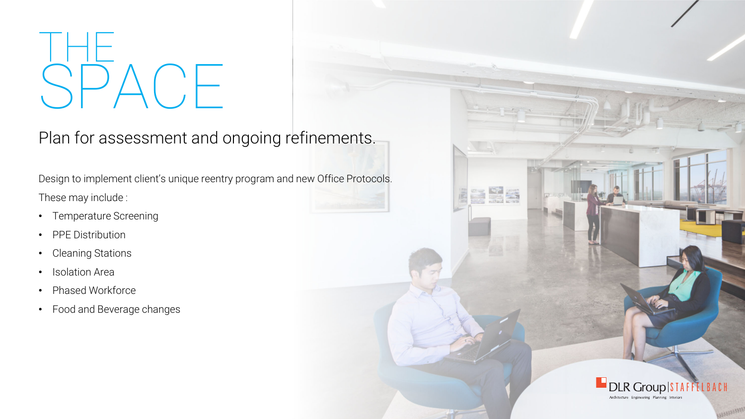## THE  $\bigcup_{i=1}^n A_i$

Plan for assessment and ongoing refinements.

Design to implement client's unique reentry program and new Office Protocols. These may include :

- Temperature Screening
- PPE Distribution
- •Cleaning Stations
- •Isolation Area
- •Phased Workforce
- Food and Beverage changes



e Ma